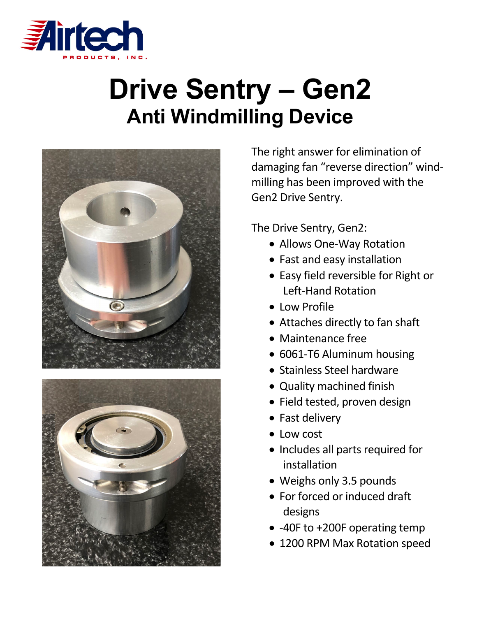

## **Drive Sentry – Gen2 Anti Windmilling Device**





The right answer for elimination of damaging fan "reverse direction" windmilling has been improved with the Gen2 Drive Sentry.

The Drive Sentry, Gen2:

- Allows One-Way Rotation
- Fast and easy installation
- Easy field reversible for Right or Left-Hand Rotation
- Low Profile
- Attaches directly to fan shaft
- Maintenance free
- 6061-T6 Aluminum housing
- Stainless Steel hardware
- Quality machined finish
- Field tested, proven design
- Fast delivery
- Low cost
- Includes all parts required for installation
- Weighs only 3.5 pounds
- For forced or induced draft designs
- -40F to +200F operating temp
- 1200 RPM Max Rotation speed